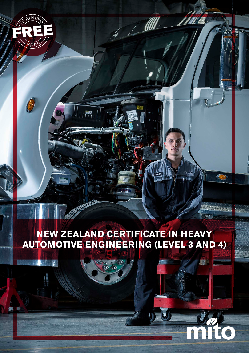

**NEW ZEALAND CERTIFICATE IN HEAVY AUTOMOTIVE ENGINEERING (LEVEL 3 AND 4)**

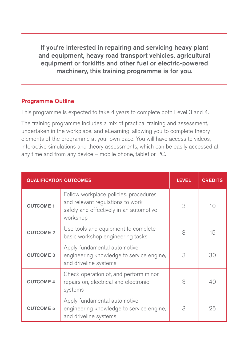If you're interested in repairing and servicing heavy plant and equipment, heavy road transport vehicles, agricultural equipment or forklifts and other fuel or electric-powered machinery, this training programme is for you.

### Programme Outline

This programme is expected to take 4 years to complete both Level 3 and 4.

The training programme includes a mix of practical training and assessment, undertaken in the workplace, and eLearning, allowing you to complete theory elements of the programme at your own pace. You will have access to videos, interactive simulations and theory assessments, which can be easily accessed at any time and from any device – mobile phone, tablet or PC.

| <b>QUALIFICATION OUTCOMES</b> |                                                                                                                                  | <b>LEVEL</b> | <b>CREDITS</b> |
|-------------------------------|----------------------------------------------------------------------------------------------------------------------------------|--------------|----------------|
| <b>OUTCOME 1</b>              | Follow workplace policies, procedures<br>and relevant regulations to work<br>safely and effectively in an automotive<br>workshop | 3            | 10             |
| <b>OUTCOME 2</b>              | Use tools and equipment to complete<br>basic workshop engineering tasks                                                          | 3            | 15             |
| <b>OUTCOME 3</b>              | Apply fundamental automotive<br>engineering knowledge to service engine,<br>and driveline systems                                | 3            | 30             |
| <b>OUTCOME 4</b>              | Check operation of, and perform minor<br>repairs on, electrical and electronic<br>systems                                        | 3            | 40             |
| <b>OUTCOME 5</b>              | Apply fundamental automotive<br>engineering knowledge to service engine,<br>and driveline systems                                | 3            | 25             |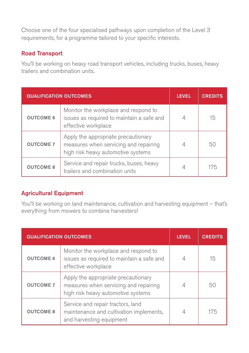Choose one of the four specialised pathways upon completion of the Level 3 requirements, for a programme tailored to your specific interests.

#### Road Transport

You'll be working on heavy road transport vehicles, including trucks, buses, heavy trailers and combination units.

| <b>QUALIFICATION OUTCOMES</b> |                                                                                                                    | <b>LEVEL</b> | <b>CREDITS</b> |
|-------------------------------|--------------------------------------------------------------------------------------------------------------------|--------------|----------------|
| <b>OUTCOME 6</b>              | Monitor the workplace and respond to<br>issues as required to maintain a safe and<br>effective workplace           |              | 15             |
| <b>OUTCOME 7</b>              | Apply the appropriate precautionary<br>measures when servicing and repairing<br>high risk heavy automotive systems |              | 50             |
| <b>OUTCOME 8</b>              | Service and repair trucks, buses, heavy<br>trailers and combination units                                          |              | 175            |

### Agricultural Equipment

You'll be working on land maintenance, cultivation and harvesting equipment – that's everything from mowers to combine harvesters!

| <b>QUALIFICATION OUTCOMES</b> |                                                                                                                    | <b>LEVEL</b> | <b>CREDITS</b> |
|-------------------------------|--------------------------------------------------------------------------------------------------------------------|--------------|----------------|
| <b>OUTCOME 6</b>              | Monitor the workplace and respond to<br>issues as required to maintain a safe and<br>effective workplace           |              | 15             |
| <b>OUTCOME 7</b>              | Apply the appropriate precautionary<br>measures when servicing and repairing<br>high risk heavy automotive systems |              | 50             |
| <b>OUTCOME 8</b>              | Service and repair tractors, land<br>maintenance and cultivation implements,<br>and harvesting equipment           |              | 175            |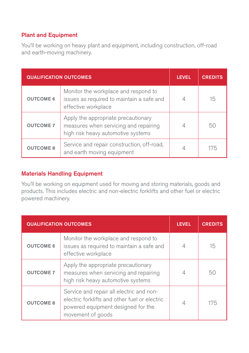## Plant and Equipment

You'll be working on heavy plant and equipment, including construction, off-road and earth-moving machinery.

| <b>QUALIFICATION OUTCOMES</b> |                                                                                                                    | <b>LEVEL</b> | <b>CREDITS</b> |
|-------------------------------|--------------------------------------------------------------------------------------------------------------------|--------------|----------------|
| <b>OUTCOME 6</b>              | Monitor the workplace and respond to<br>issues as required to maintain a safe and<br>effective workplace           |              | 15             |
| <b>OUTCOME 7</b>              | Apply the appropriate precautionary<br>measures when servicing and repairing<br>high risk heavy automotive systems |              | 50             |
| <b>OUTCOME 8</b>              | Service and repair construction, off-road,<br>and earth moving equipment                                           |              | 175            |

#### Materials Handling Equipment

You'll be working on equipment used for moving and storing materials, goods and products. This includes electric and non-electric forklifts and other fuel or electric powered machinery.

| <b>QUALIFICATION OUTCOMES</b> |                                                                                                                                                      | <b>LEVEL</b> | <b>CREDITS</b> |
|-------------------------------|------------------------------------------------------------------------------------------------------------------------------------------------------|--------------|----------------|
| <b>OUTCOME 6</b>              | Monitor the workplace and respond to<br>issues as required to maintain a safe and<br>effective workplace                                             |              | 15             |
| <b>OUTCOME 7</b>              | Apply the appropriate precautionary<br>measures when servicing and repairing<br>high risk heavy automotive systems                                   |              | 50             |
| <b>OUTCOME 8</b>              | Service and repair all electric and non-<br>electric forklifts and other fuel or electric<br>powered equipment designed for the<br>movement of goods |              | 175            |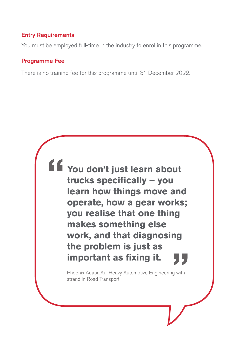#### Entry Requirements

You must be employed full-time in the industry to enrol in this programme.

#### Programme Fee

There is no training fee for this programme until 31 December 2022.

**You don't just learn about trucks specifically – you learn how things move and operate, how a gear works; you realise that one thing makes something else work, and that diagnosing the problem is just as important as fixing it.**

> Phoenix Auapa'Au, Heavy Automotive Engineering with strand in Road Transport